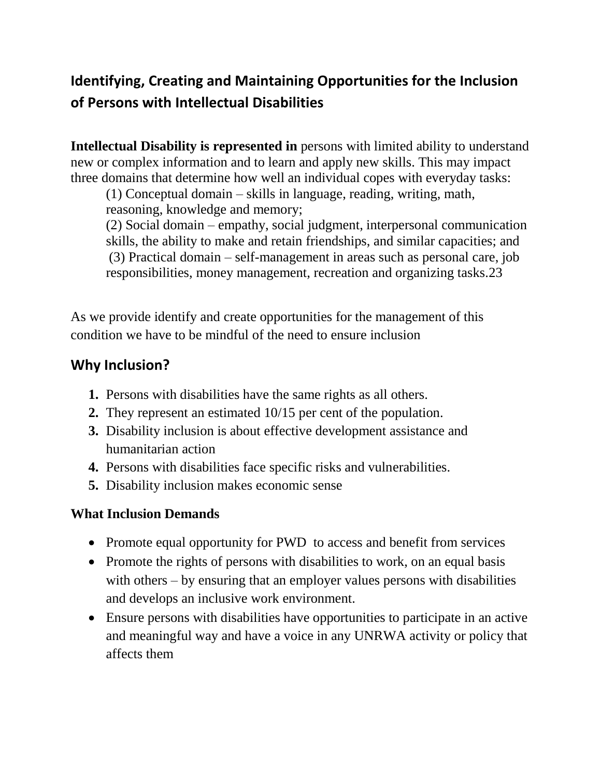# **Identifying, Creating and Maintaining Opportunities for the Inclusion of Persons with Intellectual Disabilities**

**Intellectual Disability is represented in** persons with limited ability to understand new or complex information and to learn and apply new skills. This may impact three domains that determine how well an individual copes with everyday tasks:

(1) Conceptual domain – skills in language, reading, writing, math, reasoning, knowledge and memory;

(2) Social domain – empathy, social judgment, interpersonal communication skills, the ability to make and retain friendships, and similar capacities; and (3) Practical domain – self-management in areas such as personal care, job responsibilities, money management, recreation and organizing tasks.23

As we provide identify and create opportunities for the management of this condition we have to be mindful of the need to ensure inclusion

## **Why Inclusion?**

- **1.** Persons with disabilities have the same rights as all others.
- **2.** They represent an estimated 10/15 per cent of the population.
- **3.** Disability inclusion is about effective development assistance and humanitarian action
- **4.** Persons with disabilities face specific risks and vulnerabilities.
- **5.** Disability inclusion makes economic sense

#### **What Inclusion Demands**

- Promote equal opportunity for PWD to access and benefit from services
- Promote the rights of persons with disabilities to work, on an equal basis with others – by ensuring that an employer values persons with disabilities and develops an inclusive work environment.
- Ensure persons with disabilities have opportunities to participate in an active and meaningful way and have a voice in any UNRWA activity or policy that affects them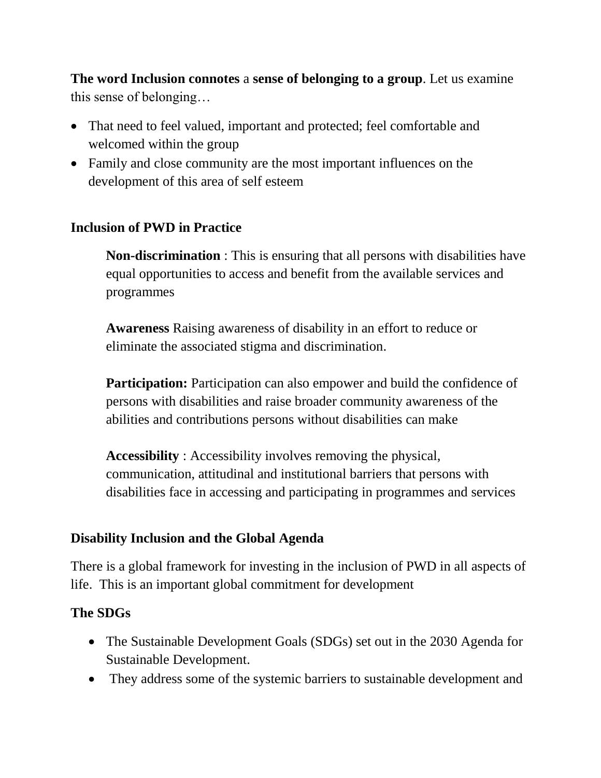**The word Inclusion connotes** a **sense of belonging to a group**. Let us examine this sense of belonging…

- That need to feel valued, important and protected; feel comfortable and welcomed within the group
- Family and close community are the most important influences on the development of this area of self esteem

#### **Inclusion of PWD in Practice**

**Non-discrimination** : This is ensuring that all persons with disabilities have equal opportunities to access and benefit from the available services and programmes

**Awareness** Raising awareness of disability in an effort to reduce or eliminate the associated stigma and discrimination.

**Participation:** Participation can also empower and build the confidence of persons with disabilities and raise broader community awareness of the abilities and contributions persons without disabilities can make

**Accessibility** : Accessibility involves removing the physical, communication, attitudinal and institutional barriers that persons with disabilities face in accessing and participating in programmes and services

#### **Disability Inclusion and the Global Agenda**

There is a global framework for investing in the inclusion of PWD in all aspects of life. This is an important global commitment for development

#### **The SDGs**

- The Sustainable Development Goals (SDGs) set out in the 2030 Agenda for Sustainable Development.
- They address some of the systemic barriers to sustainable development and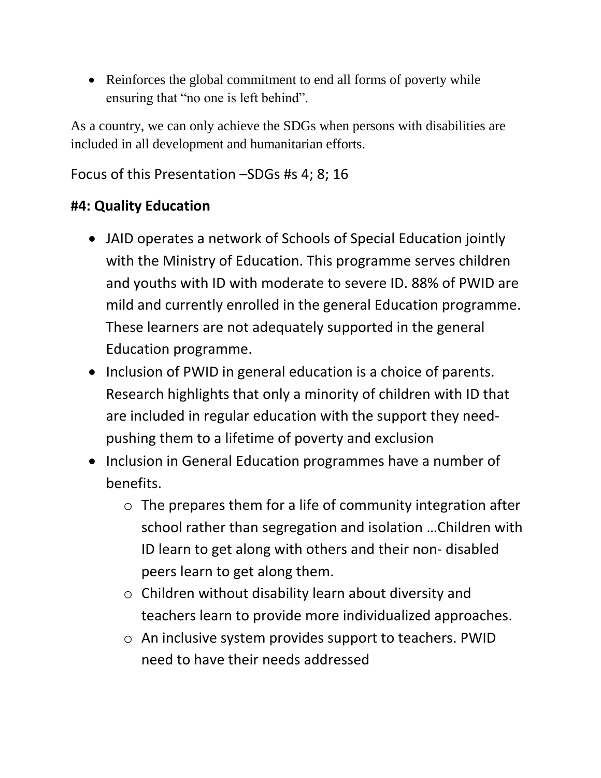• Reinforces the global commitment to end all forms of poverty while ensuring that "no one is left behind".

As a country, we can only achieve the SDGs when persons with disabilities are included in all development and humanitarian efforts.

## Focus of this Presentation –SDGs #s 4; 8; 16

## **#4: Quality Education**

- JAID operates a network of Schools of Special Education jointly with the Ministry of Education. This programme serves children and youths with ID with moderate to severe ID. 88% of PWID are mild and currently enrolled in the general Education programme. These learners are not adequately supported in the general Education programme.
- Inclusion of PWID in general education is a choice of parents. Research highlights that only a minority of children with ID that are included in regular education with the support they needpushing them to a lifetime of poverty and exclusion
- Inclusion in General Education programmes have a number of benefits.
	- $\circ$  The prepares them for a life of community integration after school rather than segregation and isolation …Children with ID learn to get along with others and their non- disabled peers learn to get along them.
	- o Children without disability learn about diversity and teachers learn to provide more individualized approaches.
	- o An inclusive system provides support to teachers. PWID need to have their needs addressed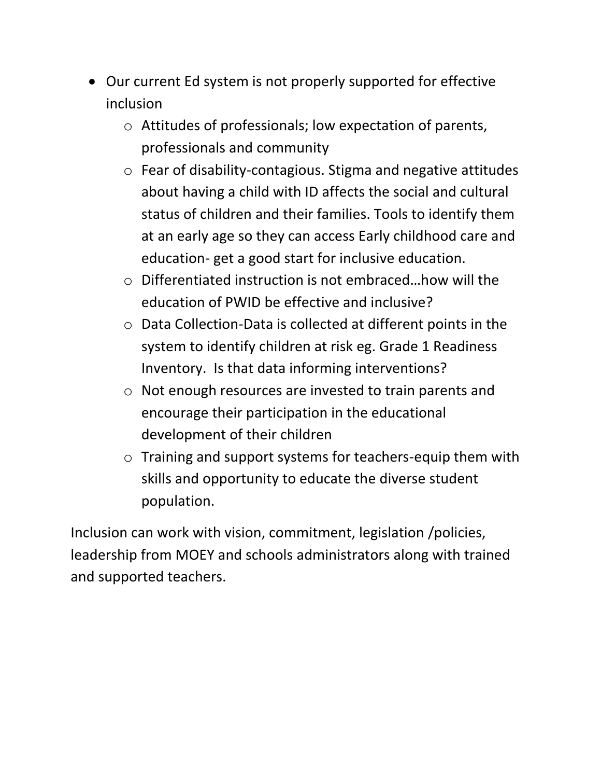- Our current Ed system is not properly supported for effective inclusion
	- o Attitudes of professionals; low expectation of parents, professionals and community
	- o Fear of disability-contagious. Stigma and negative attitudes about having a child with ID affects the social and cultural status of children and their families. Tools to identify them at an early age so they can access Early childhood care and education- get a good start for inclusive education.
	- o Differentiated instruction is not embraced…how will the education of PWID be effective and inclusive?
	- o Data Collection-Data is collected at different points in the system to identify children at risk eg. Grade 1 Readiness Inventory. Is that data informing interventions?
	- o Not enough resources are invested to train parents and encourage their participation in the educational development of their children
	- o Training and support systems for teachers-equip them with skills and opportunity to educate the diverse student population.

Inclusion can work with vision, commitment, legislation /policies, leadership from MOEY and schools administrators along with trained and supported teachers.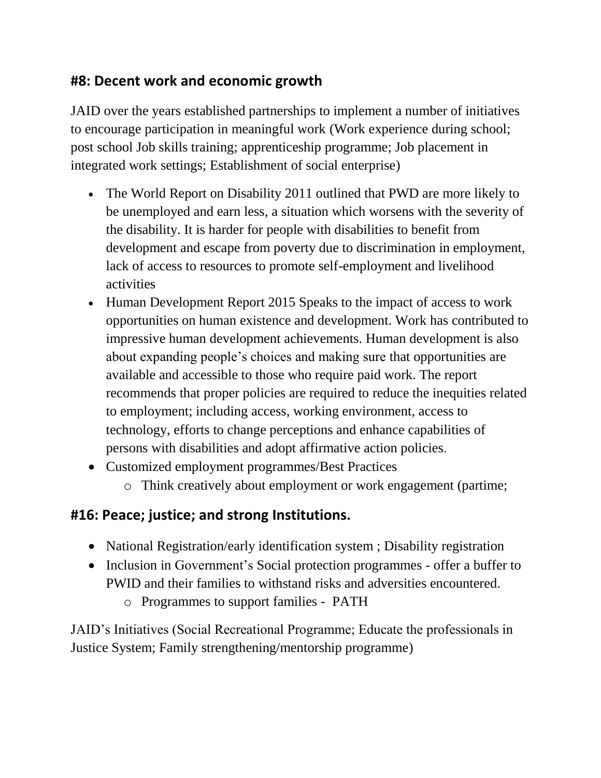## **#8: Decent work and economic growth**

JAID over the years established partnerships to implement a number of initiatives to encourage participation in meaningful work (Work experience during school; post school Job skills training; apprenticeship programme; Job placement in integrated work settings; Establishment of social enterprise)

- The World Report on Disability 2011 outlined that PWD are more likely to be unemployed and earn less, a situation which worsens with the severity of the disability. It is harder for people with disabilities to benefit from development and escape from poverty due to discrimination in employment, lack of access to resources to promote self-employment and livelihood activities
- Human Development Report 2015 Speaks to the impact of access to work opportunities on human existence and development. Work has contributed to impressive human development achievements. Human development is also about expanding people's choices and making sure that opportunities are available and accessible to those who require paid work. The report recommends that proper policies are required to reduce the inequities related to employment; including access, working environment, access to technology, efforts to change perceptions and enhance capabilities of persons with disabilities and adopt affirmative action policies.
- Customized employment programmes/Best Practices
	- o Think creatively about employment or work engagement (partime;

## **#16: Peace; justice; and strong Institutions.**

- National Registration/early identification system ; Disability registration
- Inclusion in Government's Social protection programmes offer a buffer to PWID and their families to withstand risks and adversities encountered.
	- o Programmes to support families PATH

JAID's Initiatives (Social Recreational Programme; Educate the professionals in Justice System; Family strengthening/mentorship programme)